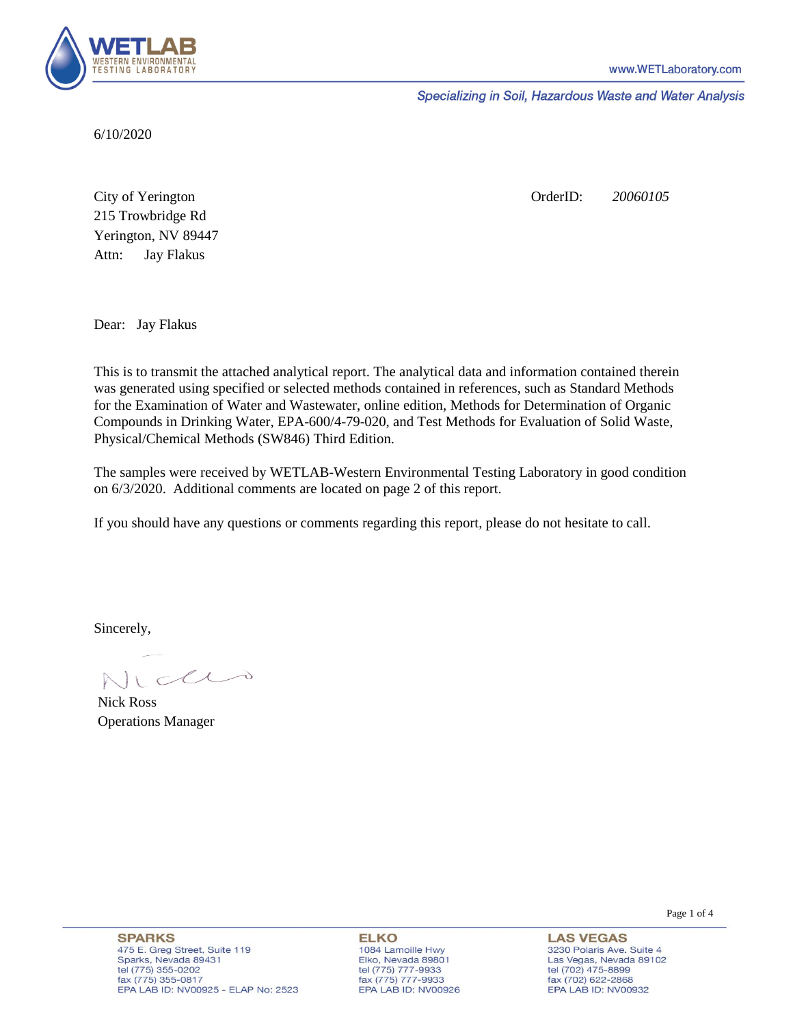

Specializing in Soil, Hazardous Waste and Water Analysis

6/10/2020

Attn: City of Yerington 215 Trowbridge Rd Jay Flakus Yerington, NV 89447 OrderID: *20060105*

Dear: Jay Flakus

This is to transmit the attached analytical report. The analytical data and information contained therein was generated using specified or selected methods contained in references, such as Standard Methods for the Examination of Water and Wastewater, online edition, Methods for Determination of Organic Compounds in Drinking Water, EPA-600/4-79-020, and Test Methods for Evaluation of Solid Waste, Physical/Chemical Methods (SW846) Third Edition.

The samples were received by WETLAB-Western Environmental Testing Laboratory in good condition on 6/3/2020. Additional comments are located on page 2 of this report.

If you should have any questions or comments regarding this report, please do not hesitate to call.

Sincerely,

Icci

Nick Ross Operations Manager

**ELKO** 1084 Lamoille Hwy Elko, Nevada 89801 tel (775) 777-9933<br>fax (775) 777-9933 EPA LAB ID: NV00926

**LAS VEGAS** 3230 Polaris Ave. Suite 4 Las Vegas, Nevada 89102 tel (702) 475-8899 fax (702) 622-2868 EPA LAB ID: NV00932

Page 1 of 4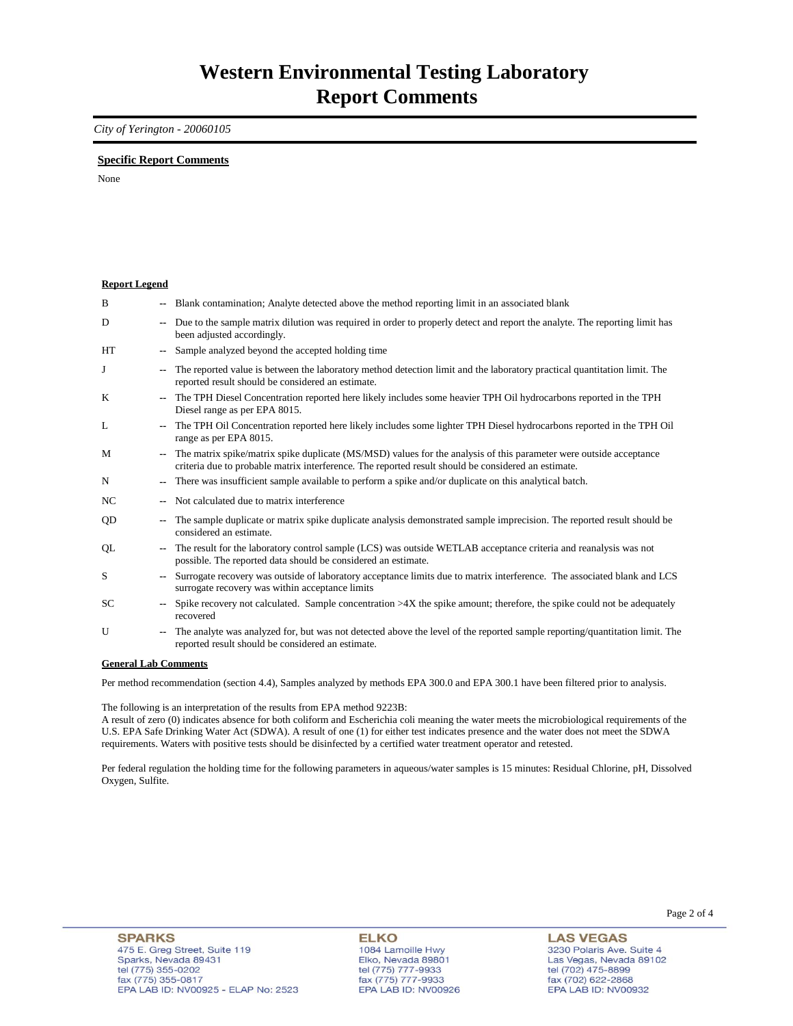## *City of Yerington - 20060105*

## **Specific Report Comments**

None

| <b>Report Legend</b> |                          |                                                                                                                                                                                                                           |
|----------------------|--------------------------|---------------------------------------------------------------------------------------------------------------------------------------------------------------------------------------------------------------------------|
| B                    |                          | Blank contamination; Analyte detected above the method reporting limit in an associated blank                                                                                                                             |
| D                    |                          | Due to the sample matrix dilution was required in order to properly detect and report the analyte. The reporting limit has<br>been adjusted accordingly.                                                                  |
| HT                   | $\overline{\phantom{a}}$ | Sample analyzed beyond the accepted holding time                                                                                                                                                                          |
| J                    | $\overline{\phantom{a}}$ | The reported value is between the laboratory method detection limit and the laboratory practical quantitation limit. The<br>reported result should be considered an estimate.                                             |
| K                    |                          | The TPH Diesel Concentration reported here likely includes some heavier TPH Oil hydrocarbons reported in the TPH<br>Diesel range as per EPA 8015.                                                                         |
| L                    |                          | The TPH Oil Concentration reported here likely includes some lighter TPH Diesel hydrocarbons reported in the TPH Oil<br>range as per EPA 8015.                                                                            |
| M                    | $\sim$                   | The matrix spike/matrix spike duplicate (MS/MSD) values for the analysis of this parameter were outside acceptance<br>criteria due to probable matrix interference. The reported result should be considered an estimate. |
| $\mathbf N$          |                          | There was insufficient sample available to perform a spike and/or duplicate on this analytical batch.                                                                                                                     |
| NC                   |                          | Not calculated due to matrix interference                                                                                                                                                                                 |
| QD                   |                          | The sample duplicate or matrix spike duplicate analysis demonstrated sample imprecision. The reported result should be<br>considered an estimate.                                                                         |
| QL                   |                          | The result for the laboratory control sample (LCS) was outside WETLAB acceptance criteria and reanalysis was not<br>possible. The reported data should be considered an estimate.                                         |
| S                    |                          | Surrogate recovery was outside of laboratory acceptance limits due to matrix interference. The associated blank and LCS<br>surrogate recovery was within acceptance limits                                                |
| SC                   |                          | Spike recovery not calculated. Sample concentration >4X the spike amount; therefore, the spike could not be adequately<br>recovered                                                                                       |
| $\mathbf{U}$         | $\overline{\phantom{a}}$ | The analyte was analyzed for, but was not detected above the level of the reported sample reporting/quantitation limit. The<br>reported result should be considered an estimate.                                          |
| Conoral Lab Commonts |                          |                                                                                                                                                                                                                           |

**General Lab Comments**

Per method recommendation (section 4.4), Samples analyzed by methods EPA 300.0 and EPA 300.1 have been filtered prior to analysis.

The following is an interpretation of the results from EPA method 9223B:

A result of zero (0) indicates absence for both coliform and Escherichia coli meaning the water meets the microbiological requirements of the U.S. EPA Safe Drinking Water Act (SDWA). A result of one (1) for either test indicates presence and the water does not meet the SDWA requirements. Waters with positive tests should be disinfected by a certified water treatment operator and retested.

Per federal regulation the holding time for the following parameters in aqueous/water samples is 15 minutes: Residual Chlorine, pH, Dissolved Oxygen, Sulfite.

**LAS VEGAS** 3230 Polaris Ave. Suite 4 Las Vegas, Nevada 89102 tel (702) 475-8899 fax (702) 47 3-8839<br>fax (702) 622-2868<br>EPA LAB ID: NV00932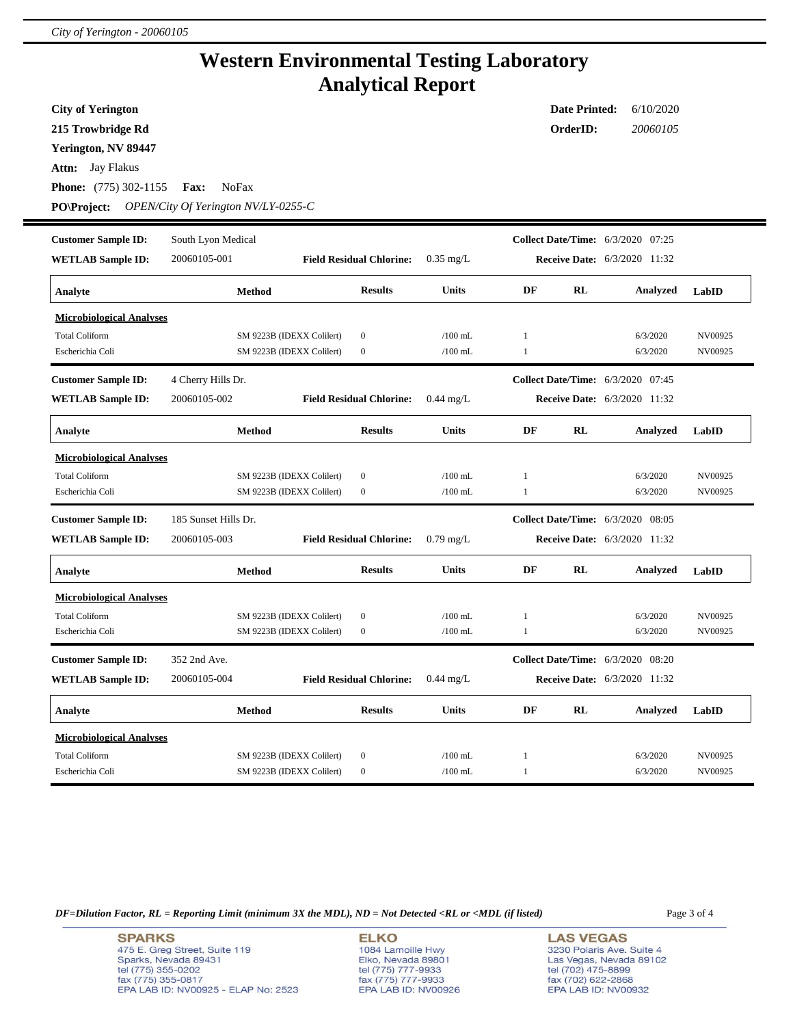## **Western Environmental Testing Laboratory Analytical Report**

**City of Yerington**

**215 Trowbridge Rd**

**Yerington, NV 89447**

**Attn:** Jay Flakus

**Phone:** (775) 302-1155 **Fax:** NoFax

**PO\Project:** *OPEN/City Of Yerington NV/LY-0255-C*

| <b>Customer Sample ID:</b>      | South Lyon Medical   |                           |                                 |              |              |    | <b>Collect Date/Time:</b> 6/3/2020 07:25 |         |
|---------------------------------|----------------------|---------------------------|---------------------------------|--------------|--------------|----|------------------------------------------|---------|
| <b>WETLAB Sample ID:</b>        | 20060105-001         |                           | <b>Field Residual Chlorine:</b> | $0.35$ mg/L  |              |    | <b>Receive Date:</b> 6/3/2020 11:32      |         |
| Analyte                         |                      | Method                    | <b>Results</b>                  | <b>Units</b> | DF           | RL | <b>Analyzed</b>                          | LabID   |
| <b>Microbiological Analyses</b> |                      |                           |                                 |              |              |    |                                          |         |
| <b>Total Coliform</b>           |                      | SM 9223B (IDEXX Colilert) | $\bf{0}$                        | $/100$ mL    | 1            |    | 6/3/2020                                 | NV00925 |
| Escherichia Coli                |                      | SM 9223B (IDEXX Colilert) | $\mathbf{0}$                    | $/100$ mL    | $\mathbf{1}$ |    | 6/3/2020                                 | NV00925 |
| <b>Customer Sample ID:</b>      | 4 Cherry Hills Dr.   |                           |                                 |              |              |    | <b>Collect Date/Time:</b> 6/3/2020 07:45 |         |
| <b>WETLAB Sample ID:</b>        | 20060105-002         |                           | <b>Field Residual Chlorine:</b> | $0.44$ mg/L  |              |    | <b>Receive Date:</b> 6/3/2020 11:32      |         |
| Analyte                         |                      | Method                    | <b>Results</b>                  | <b>Units</b> | DF           | RL | Analyzed                                 | LabID   |
| <b>Microbiological Analyses</b> |                      |                           |                                 |              |              |    |                                          |         |
| <b>Total Coliform</b>           |                      | SM 9223B (IDEXX Colilert) | $\mathbf{0}$                    | $/100$ mL    | 1            |    | 6/3/2020                                 | NV00925 |
| Escherichia Coli                |                      | SM 9223B (IDEXX Colilert) | $\boldsymbol{0}$                | $/100$ mL    | 1            |    | 6/3/2020                                 | NV00925 |
|                                 |                      |                           |                                 |              |              |    |                                          |         |
| <b>Customer Sample ID:</b>      | 185 Sunset Hills Dr. |                           |                                 |              |              |    | Collect Date/Time: 6/3/2020 08:05        |         |
| <b>WETLAB Sample ID:</b>        | 20060105-003         |                           | <b>Field Residual Chlorine:</b> | $0.79$ mg/L  |              |    | <b>Receive Date:</b> 6/3/2020 11:32      |         |
| Analyte                         |                      | <b>Method</b>             | <b>Results</b>                  | <b>Units</b> | DF           | RL | Analyzed                                 | LabID   |
| <b>Microbiological Analyses</b> |                      |                           |                                 |              |              |    |                                          |         |
| <b>Total Coliform</b>           |                      | SM 9223B (IDEXX Colilert) | $\boldsymbol{0}$                | $/100$ mL    | $\mathbf{1}$ |    | 6/3/2020                                 | NV00925 |
| Escherichia Coli                |                      | SM 9223B (IDEXX Colilert) | $\mathbf{0}$                    | $/100$ mL    | 1            |    | 6/3/2020                                 | NV00925 |
| <b>Customer Sample ID:</b>      | 352 2nd Ave.         |                           |                                 |              |              |    | <b>Collect Date/Time:</b> 6/3/2020 08:20 |         |
| <b>WETLAB Sample ID:</b>        | 20060105-004         |                           | <b>Field Residual Chlorine:</b> | $0.44$ mg/L  |              |    | <b>Receive Date:</b> 6/3/2020 11:32      |         |
| Analyte                         |                      | <b>Method</b>             | <b>Results</b>                  | Units        | DF           | RL | Analyzed                                 | LabID   |
| <b>Microbiological Analyses</b> |                      |                           |                                 |              |              |    |                                          |         |
| <b>Total Coliform</b>           |                      | SM 9223B (IDEXX Colilert) | $\boldsymbol{0}$                | $/100$ mL    | 1            |    | 6/3/2020                                 | NV00925 |

*DF=Dilution Factor, RL = Reporting Limit (minimum 3X the MDL), ND = Not Detected <RL or <MDL (if listed)* Page 3 of 4

**SPARKS** 475 E. Greg Street, Suite 119 Sparks, Nevada 89431 tel (775) 355-0202 fax (775) 355-0817 EPA LAB ID: NV00925 - ELAP No: 2523

**ELKO** 1084 Lamoille Hwy Polyton, Nevada 89801<br>tel (775) 777-9933<br>fax (775) 777-9933<br>EPA LAB ID: NV00926

**LAS VEGAS** 3230 Polaris Ave. Suite 4 Las Vegas, Nevada 89102 tel (702) 475-8899<br>fax (702) 622-2868<br>EPA LAB ID: NV00932

**Date Printed:** 6/10/2020 **OrderID:** *20060105*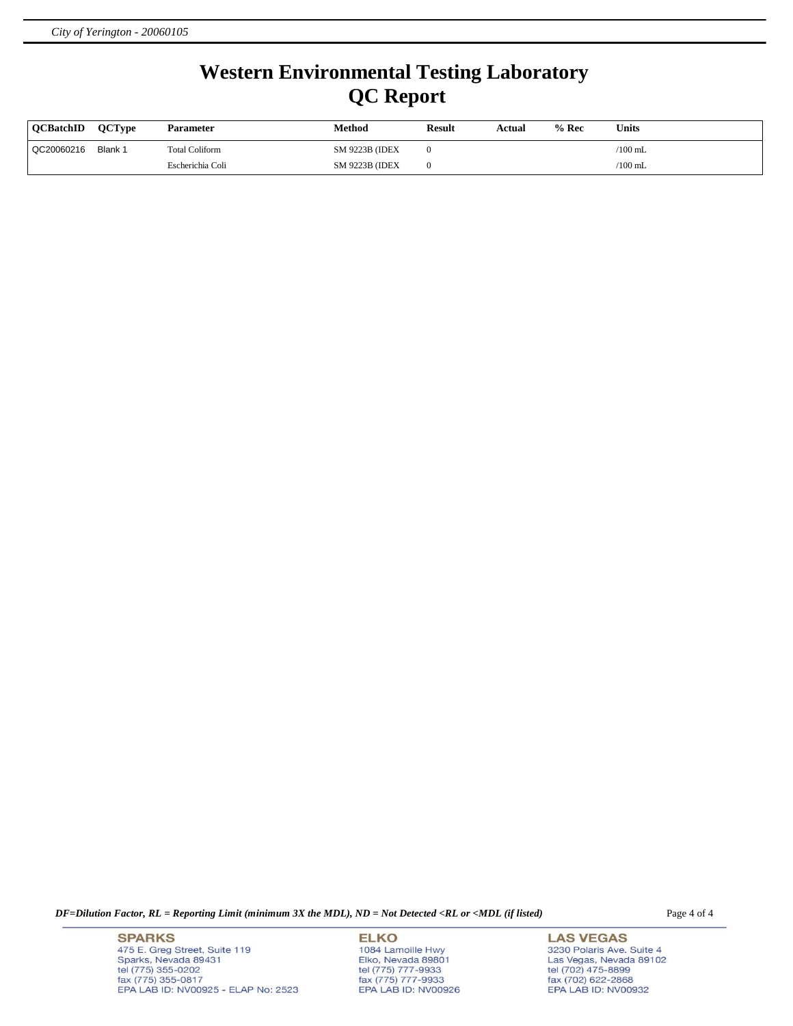## **Western Environmental Testing Laboratory QC Report**

| <b>OCBatchID</b> | <b>OCTvpe</b> | Parameter             | Method                 | <b>Result</b> | Actual | $%$ Rec | <b>Units</b> |
|------------------|---------------|-----------------------|------------------------|---------------|--------|---------|--------------|
| QC20060216       | Blank 1       | <b>Total Coliform</b> | <b>SM 9223B (IDEX)</b> |               |        |         | $/100$ mL    |
|                  |               | Escherichia Coli      | <b>SM 9223B (IDEX)</b> |               |        |         | $/100$ mL    |

*DF=Dilution Factor, RL = Reporting Limit (minimum 3X the MDL), ND = Not Detected <RL or <MDL (if listed)* Page 4 of 4

**SPARKS** 475 E. Greg Street, Suite 119 Sparks, Nevada 89431<br>tel (775) 355-0202<br>fax (775) 355-0817 EPA LAB ID: NV00925 - ELAP No: 2523

**ELKO** 1084 Lamoille Hwy Polyton, Nevada 89801<br>tel (775) 777-9933<br>fax (775) 777-9933<br>EPA LAB ID: NV00926

**LAS VEGAS** 3230 Polaris Ave. Suite 4 Las Vegas, Nevada 89102<br>tel (702) 475-8899<br>fax (702) 622-2868<br>EPA LAB ID: NV00932